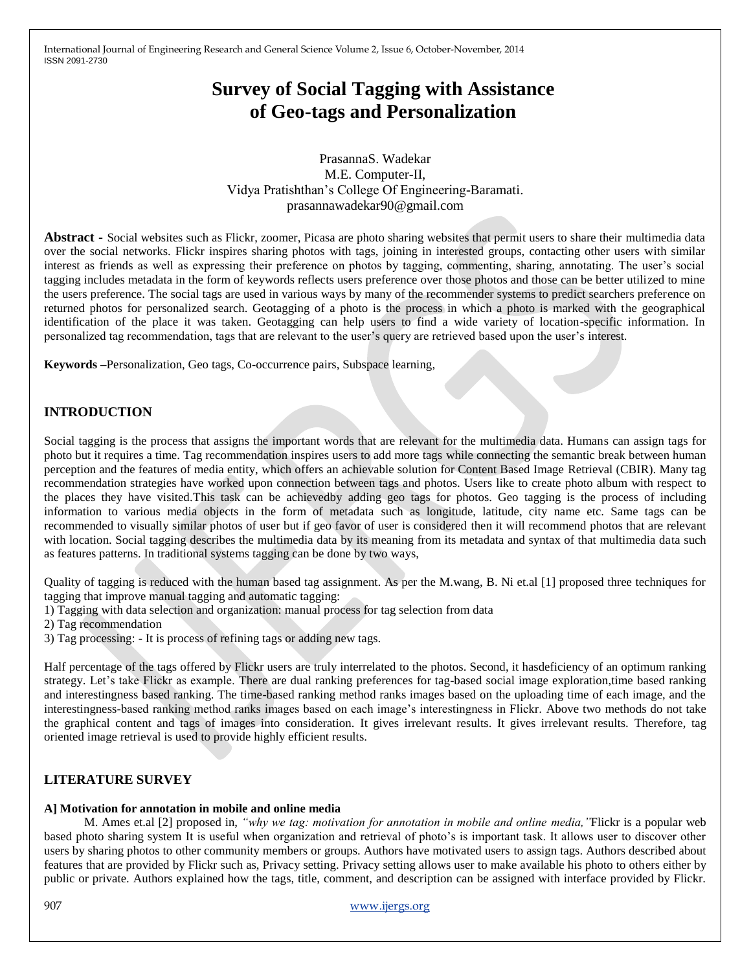# **Survey of Social Tagging with Assistance of Geo-tags and Personalization**

PrasannaS. Wadekar M.E. Computer-II, Vidya Pratishthan's College Of Engineering-Baramati. prasannawadekar90@gmail.com

**Abstract -** Social websites such as Flickr, zoomer, Picasa are photo sharing websites that permit users to share their multimedia data over the social networks. Flickr inspires sharing photos with tags, joining in interested groups, contacting other users with similar interest as friends as well as expressing their preference on photos by tagging, commenting, sharing, annotating. The user's social tagging includes metadata in the form of keywords reflects users preference over those photos and those can be better utilized to mine the users preference. The social tags are used in various ways by many of the recommender systems to predict searchers preference on returned photos for personalized search. Geotagging of a photo is the process in which a photo is marked with the geographical identification of the place it was taken. Geotagging can help users to find a wide variety of location-specific information. In personalized tag recommendation, tags that are relevant to the user's query are retrieved based upon the user's interest.

**Keywords –**Personalization, Geo tags, Co-occurrence pairs, Subspace learning,

# **INTRODUCTION**

Social tagging is the process that assigns the important words that are relevant for the multimedia data. Humans can assign tags for photo but it requires a time. Tag recommendation inspires users to add more tags while connecting the semantic break between human perception and the features of media entity, which offers an achievable solution for Content Based Image Retrieval (CBIR). Many tag recommendation strategies have worked upon connection between tags and photos. Users like to create photo album with respect to the places they have visited.This task can be achievedby adding geo tags for photos. Geo tagging is the process of including information to various media objects in the form of metadata such as longitude, latitude, city name etc. Same tags can be recommended to visually similar photos of user but if geo favor of user is considered then it will recommend photos that are relevant with location. Social tagging describes the multimedia data by its meaning from its metadata and syntax of that multimedia data such as features patterns. In traditional systems tagging can be done by two ways,

Quality of tagging is reduced with the human based tag assignment. As per the M.wang, B. Ni et.al [1] proposed three techniques for tagging that improve manual tagging and automatic tagging:

- 1) Tagging with data selection and organization: manual process for tag selection from data
- 2) Tag recommendation
- 3) Tag processing: It is process of refining tags or adding new tags.

Half percentage of the tags offered by Flickr users are truly interrelated to the photos. Second, it hasdeficiency of an optimum ranking strategy. Let's take Flickr as example. There are dual ranking preferences for tag-based social image exploration,time based ranking and interestingness based ranking. The time-based ranking method ranks images based on the uploading time of each image, and the interestingness-based ranking method ranks images based on each image's interestingness in Flickr. Above two methods do not take the graphical content and tags of images into consideration. It gives irrelevant results. It gives irrelevant results. Therefore, tag oriented image retrieval is used to provide highly efficient results.

## **LITERATURE SURVEY**

#### **A] Motivation for annotation in mobile and online media**

 M. Ames et.al [2] proposed in, *"why we tag: motivation for annotation in mobile and online media,"*Flickr is a popular web based photo sharing system It is useful when organization and retrieval of photo's is important task. It allows user to discover other users by sharing photos to other community members or groups. Authors have motivated users to assign tags. Authors described about features that are provided by Flickr such as, Privacy setting. Privacy setting allows user to make available his photo to others either by public or private. Authors explained how the tags, title, comment, and description can be assigned with interface provided by Flickr.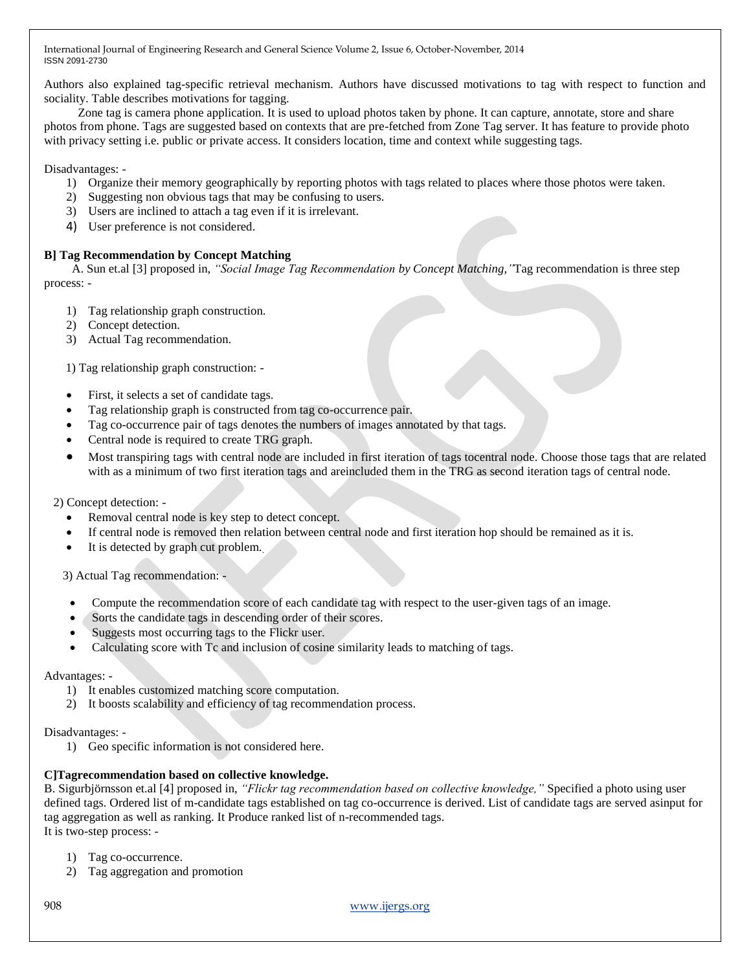Authors also explained tag-specific retrieval mechanism. Authors have discussed motivations to tag with respect to function and sociality. Table describes motivations for tagging.

 Zone tag is camera phone application. It is used to upload photos taken by phone. It can capture, annotate, store and share photos from phone. Tags are suggested based on contexts that are pre-fetched from Zone Tag server. It has feature to provide photo with privacy setting i.e. public or private access. It considers location, time and context while suggesting tags.

Disadvantages: -

- 1) Organize their memory geographically by reporting photos with tags related to places where those photos were taken.
- 2) Suggesting non obvious tags that may be confusing to users.
- 3) Users are inclined to attach a tag even if it is irrelevant.
- 4) User preference is not considered.

## **B] Tag Recommendation by Concept Matching**

 A. Sun et.al [3] proposed in, *"Social Image Tag Recommendation by Concept Matching,"*Tag recommendation is three step process: -

- 1) Tag relationship graph construction.
- 2) Concept detection.
- 3) Actual Tag recommendation.

1) Tag relationship graph construction: -

- First, it selects a set of candidate tags.
- Tag relationship graph is constructed from tag co-occurrence pair.
- Tag co-occurrence pair of tags denotes the numbers of images annotated by that tags.
- Central node is required to create TRG graph.
- Most transpiring tags with central node are included in first iteration of tags tocentral node. Choose those tags that are related with as a minimum of two first iteration tags and areincluded them in the TRG as second iteration tags of central node.

#### 2) Concept detection: -

- Removal central node is key step to detect concept.
- If central node is removed then relation between central node and first iteration hop should be remained as it is.
- It is detected by graph cut problem..

3) Actual Tag recommendation: -

- Compute the recommendation score of each candidate tag with respect to the user-given tags of an image.
- Sorts the candidate tags in descending order of their scores.
- Suggests most occurring tags to the Flickr user.
- Calculating score with Tc and inclusion of cosine similarity leads to matching of tags.

#### Advantages: -

- 1) It enables customized matching score computation.
- 2) It boosts scalability and efficiency of tag recommendation process.

#### Disadvantages: -

1) Geo specific information is not considered here.

## **C]Tagrecommendation based on collective knowledge.**

B. Sigurbjörnsson et.al [4] proposed in, *"Flickr tag recommendation based on collective knowledge,"* Specified a photo using user defined tags. Ordered list of m-candidate tags established on tag co-occurrence is derived. List of candidate tags are served asinput for tag aggregation as well as ranking. It Produce ranked list of n-recommended tags. It is two-step process: -

- 1) Tag co-occurrence.
- 2) Tag aggregation and promotion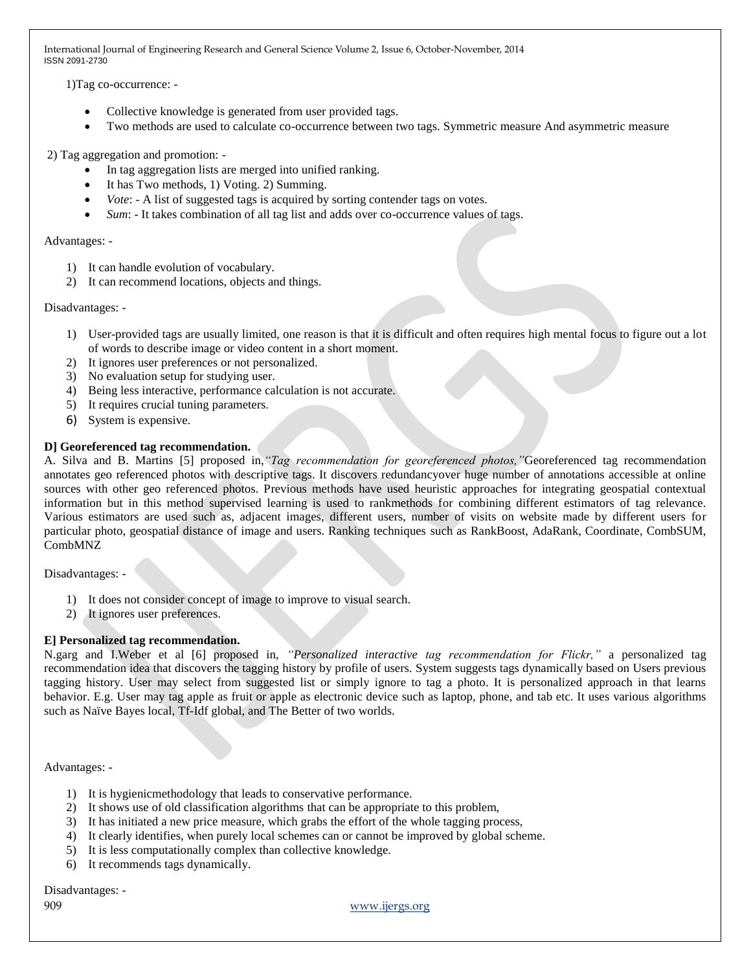1)Tag co-occurrence: -

- Collective knowledge is generated from user provided tags.
- Two methods are used to calculate co-occurrence between two tags. Symmetric measure And asymmetric measure

2) Tag aggregation and promotion: -

- In tag aggregation lists are merged into unified ranking.
- It has Two methods, 1) Voting. 2) Summing.
- *Vote*: A list of suggested tags is acquired by sorting contender tags on votes.
- *Sum*: It takes combination of all tag list and adds over co-occurrence values of tags.

#### Advantages: -

- 1) It can handle evolution of vocabulary.
- 2) It can recommend locations, objects and things.

#### Disadvantages: -

- 1) User-provided tags are usually limited, one reason is that it is difficult and often requires high mental focus to figure out a lot of words to describe image or video content in a short moment.
- 2) It ignores user preferences or not personalized.
- 3) No evaluation setup for studying user.
- 4) Being less interactive, performance calculation is not accurate.
- 5) It requires crucial tuning parameters.
- 6) System is expensive.

## **D] Georeferenced tag recommendation.**

A. Silva and B. Martins [5] proposed in,*"Tag recommendation for georeferenced photos,"*Georeferenced tag recommendation annotates geo referenced photos with descriptive tags. It discovers redundancyover huge number of annotations accessible at online sources with other geo referenced photos. Previous methods have used heuristic approaches for integrating geospatial contextual information but in this method supervised learning is used to rankmethods for combining different estimators of tag relevance. Various estimators are used such as, adjacent images, different users, number of visits on website made by different users for particular photo, geospatial distance of image and users. Ranking techniques such as RankBoost, AdaRank, Coordinate, CombSUM, CombMNZ

Disadvantages: -

- 1) It does not consider concept of image to improve to visual search.
- 2) It ignores user preferences.

## **E] Personalized tag recommendation.**

N.garg and I.Weber et al [6] proposed in, *"Personalized interactive tag recommendation for Flickr,"* a personalized tag recommendation idea that discovers the tagging history by profile of users. System suggests tags dynamically based on Users previous tagging history. User may select from suggested list or simply ignore to tag a photo. It is personalized approach in that learns behavior. E.g. User may tag apple as fruit or apple as electronic device such as laptop, phone, and tab etc. It uses various algorithms such as Naïve Bayes local, Tf-Idf global, and The Better of two worlds.

Advantages: -

- 1) It is hygienicmethodology that leads to conservative performance.
- 2) It shows use of old classification algorithms that can be appropriate to this problem,
- 3) It has initiated a new price measure, which grabs the effort of the whole tagging process,
- 4) It clearly identifies, when purely local schemes can or cannot be improved by global scheme.
- 5) It is less computationally complex than collective knowledge.
- 6) It recommends tags dynamically.

Disadvantages: -

909 www.ijergs.org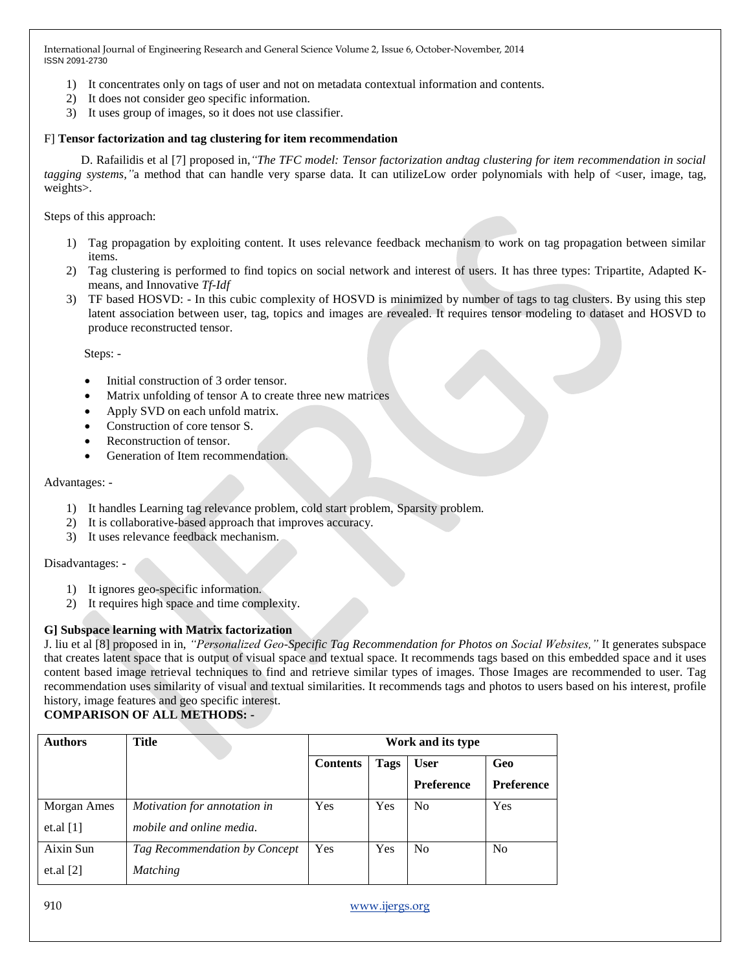- 1) It concentrates only on tags of user and not on metadata contextual information and contents.
- 2) It does not consider geo specific information.
- 3) It uses group of images, so it does not use classifier.

#### F] **Tensor factorization and tag clustering for item recommendation**

 D. Rafailidis et al [7] proposed in,*"The TFC model: Tensor factorization andtag clustering for item recommendation in social tagging systems*," a method that can handle very sparse data. It can utilizeLow order polynomials with help of  $\lt$ user, image, tag, weights>.

Steps of this approach:

- 1) Tag propagation by exploiting content. It uses relevance feedback mechanism to work on tag propagation between similar items.
- 2) Tag clustering is performed to find topics on social network and interest of users. It has three types: Tripartite, Adapted Kmeans, and Innovative *Tf-Idf*
- 3) TF based HOSVD: In this cubic complexity of HOSVD is minimized by number of tags to tag clusters. By using this step latent association between user, tag, topics and images are revealed. It requires tensor modeling to dataset and HOSVD to produce reconstructed tensor.

Steps: -

- Initial construction of 3 order tensor.
- Matrix unfolding of tensor A to create three new matrices
- Apply SVD on each unfold matrix.
- Construction of core tensor S.
- Reconstruction of tensor.
- Generation of Item recommendation.

#### Advantages: -

- 1) It handles Learning tag relevance problem, cold start problem, Sparsity problem.
- 2) It is collaborative-based approach that improves accuracy.
- 3) It uses relevance feedback mechanism.

Disadvantages: -

- 1) It ignores geo-specific information.
- 2) It requires high space and time complexity.

## **G] Subspace learning with Matrix factorization**

J. liu et al [8] proposed in in, *"Personalized Geo-Specific Tag Recommendation for Photos on Social Websites,"* It generates subspace that creates latent space that is output of visual space and textual space. It recommends tags based on this embedded space and it uses content based image retrieval techniques to find and retrieve similar types of images. Those Images are recommended to user. Tag recommendation uses similarity of visual and textual similarities. It recommends tags and photos to users based on his interest, profile history, image features and geo specific interest.

## **COMPARISON OF ALL METHODS: -**

| <b>Authors</b> | Title                         | Work and its type |             |                   |                   |  |
|----------------|-------------------------------|-------------------|-------------|-------------------|-------------------|--|
|                |                               | <b>Contents</b>   | <b>Tags</b> | <b>User</b>       | Geo               |  |
|                |                               |                   |             | <b>Preference</b> | <b>Preference</b> |  |
| Morgan Ames    | Motivation for annotation in  | Yes               | Yes         | No                | Yes               |  |
| et.al $[1]$    | mobile and online media.      |                   |             |                   |                   |  |
| Aixin Sun      | Tag Recommendation by Concept | Yes               | Yes         | No                | N <sub>o</sub>    |  |
| et.al $[2]$    | <b>Matching</b>               |                   |             |                   |                   |  |